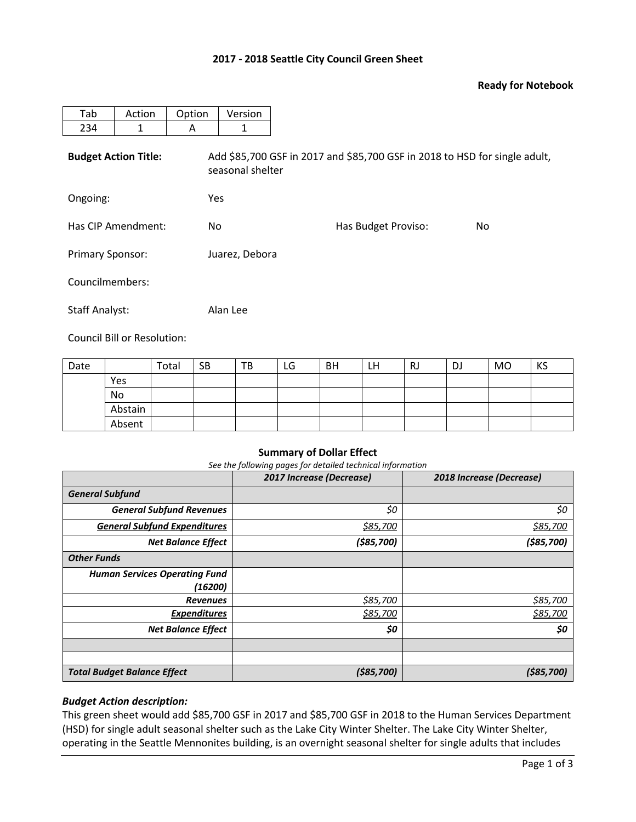## **2017 - 2018 Seattle City Council Green Sheet**

## **Ready for Notebook**

| Tab                         | Action | Option | Version                                                                                        |                     |     |  |  |  |  |
|-----------------------------|--------|--------|------------------------------------------------------------------------------------------------|---------------------|-----|--|--|--|--|
| 234                         | 1      | A      | 1                                                                                              |                     |     |  |  |  |  |
| <b>Budget Action Title:</b> |        |        | Add \$85,700 GSF in 2017 and \$85,700 GSF in 2018 to HSD for single adult,<br>seasonal shelter |                     |     |  |  |  |  |
| Ongoing:                    |        |        | Yes                                                                                            |                     |     |  |  |  |  |
| Has CIP Amendment:          |        | No.    |                                                                                                | Has Budget Proviso: | No. |  |  |  |  |
| <b>Primary Sponsor:</b>     |        |        | Juarez, Debora                                                                                 |                     |     |  |  |  |  |
| Councilmembers:             |        |        |                                                                                                |                     |     |  |  |  |  |
| <b>Staff Analyst:</b>       |        |        | Alan Lee                                                                                       |                     |     |  |  |  |  |

Council Bill or Resolution:

| Date |         | Total | <b>SB</b> | TB | LG | <b>BH</b> | LН | <b>RJ</b> | <b>DJ</b> | MO | KS |
|------|---------|-------|-----------|----|----|-----------|----|-----------|-----------|----|----|
|      | Yes     |       |           |    |    |           |    |           |           |    |    |
|      | No      |       |           |    |    |           |    |           |           |    |    |
|      | Abstain |       |           |    |    |           |    |           |           |    |    |
|      | Absent  |       |           |    |    |           |    |           |           |    |    |

#### **Summary of Dollar Effect**

*See the following pages for detailed technical information*

|                                      | 2017 Increase (Decrease) | 2018 Increase (Decrease) |
|--------------------------------------|--------------------------|--------------------------|
| <b>General Subfund</b>               |                          |                          |
| <b>General Subfund Revenues</b>      | \$0                      | \$0                      |
| <b>General Subfund Expenditures</b>  | \$85,700                 | \$85,700                 |
| <b>Net Balance Effect</b>            | ( \$85,700)              | (585, 700)               |
| <b>Other Funds</b>                   |                          |                          |
| <b>Human Services Operating Fund</b> |                          |                          |
| (16200)                              |                          |                          |
| <b>Revenues</b>                      | \$85,700                 | \$85,700                 |
| <b>Expenditures</b>                  | \$85,700                 | \$85,700                 |
| <b>Net Balance Effect</b>            | \$0                      | \$0                      |
|                                      |                          |                          |
|                                      |                          |                          |
| <b>Total Budget Balance Effect</b>   | (585, 700)               | (585, 700)               |

## *Budget Action description:*

This green sheet would add \$85,700 GSF in 2017 and \$85,700 GSF in 2018 to the Human Services Department (HSD) for single adult seasonal shelter such as the Lake City Winter Shelter. The Lake City Winter Shelter, operating in the Seattle Mennonites building, is an overnight seasonal shelter for single adults that includes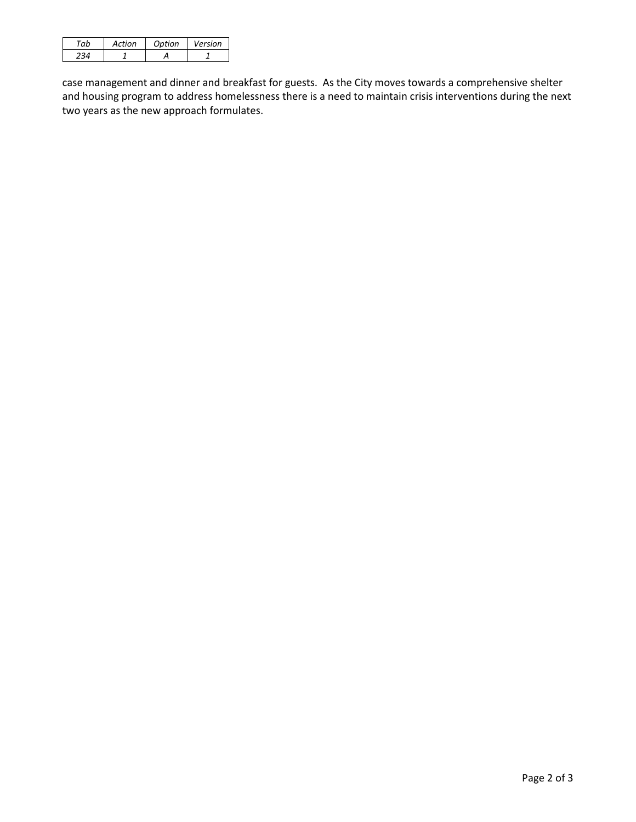| Action | Ontion | Version |
|--------|--------|---------|
|        |        |         |

case management and dinner and breakfast for guests. As the City moves towards a comprehensive shelter and housing program to address homelessness there is a need to maintain crisis interventions during the next two years as the new approach formulates.